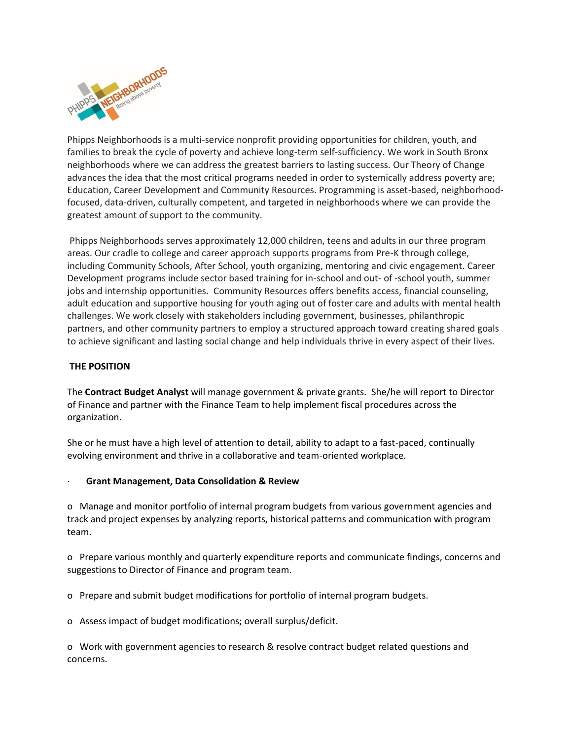

Phipps Neighborhoods is a multi-service nonprofit providing opportunities for children, youth, and families to break the cycle of poverty and achieve long-term self-sufficiency. We work in South Bronx neighborhoods where we can address the greatest barriers to lasting success. Our Theory of Change advances the idea that the most critical programs needed in order to systemically address poverty are; Education, Career Development and Community Resources. Programming is asset-based, neighborhoodfocused, data-driven, culturally competent, and targeted in neighborhoods where we can provide the greatest amount of support to the community.

Phipps Neighborhoods serves approximately 12,000 children, teens and adults in our three program areas. Our cradle to college and career approach supports programs from Pre-K through college, including Community Schools, After School, youth organizing, mentoring and civic engagement. Career Development programs include sector based training for in-school and out- of -school youth, summer jobs and internship opportunities. Community Resources offers benefits access, financial counseling, adult education and supportive housing for youth aging out of foster care and adults with mental health challenges. We work closely with stakeholders including government, businesses, philanthropic partners, and other community partners to employ a structured approach toward creating shared goals to achieve significant and lasting social change and help individuals thrive in every aspect of their lives.

# **THE POSITION**

The **Contract Budget Analyst** will manage government & private grants. She/he will report to Director of Finance and partner with the Finance Team to help implement fiscal procedures across the organization.

She or he must have a high level of attention to detail, ability to adapt to a fast-paced, continually evolving environment and thrive in a collaborative and team-oriented workplace.

## · **Grant Management, Data Consolidation & Review**

o Manage and monitor portfolio of internal program budgets from various government agencies and track and project expenses by analyzing reports, historical patterns and communication with program team.

o Prepare various monthly and quarterly expenditure reports and communicate findings, concerns and suggestions to Director of Finance and program team.

o Prepare and submit budget modifications for portfolio of internal program budgets.

o Assess impact of budget modifications; overall surplus/deficit.

o Work with government agencies to research & resolve contract budget related questions and concerns.